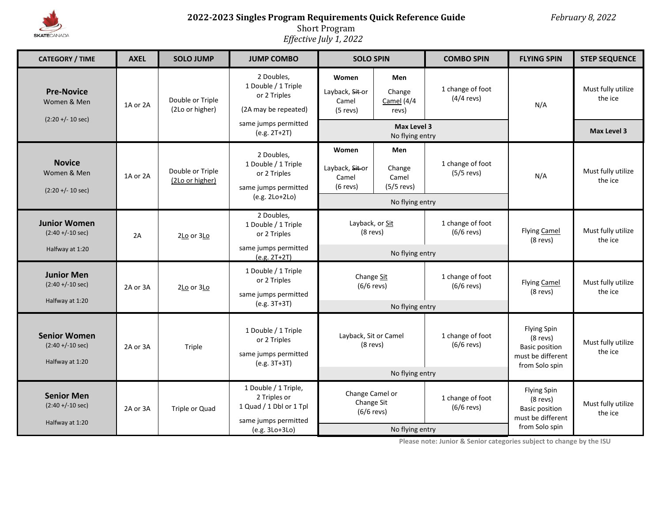

# **2022-2023 Singles Program Requirements Quick Reference Guide** *February 8, 2022*

Short Program

*Effective July 1, 2022*

| <b>CATEGORY / TIME</b>                                         | <b>AXEL</b>                                                                                                           | <b>SOLO JUMP</b>                    | <b>JUMP COMBO</b>                                                                             | <b>SOLO SPIN</b>                                     |                                                           | <b>COMBO SPIN</b>                                                                                | <b>FLYING SPIN</b>                                                                               | <b>STEP SEQUENCE</b>          |
|----------------------------------------------------------------|-----------------------------------------------------------------------------------------------------------------------|-------------------------------------|-----------------------------------------------------------------------------------------------|------------------------------------------------------|-----------------------------------------------------------|--------------------------------------------------------------------------------------------------|--------------------------------------------------------------------------------------------------|-------------------------------|
| <b>Pre-Novice</b><br>Women & Men<br>$(2:20 + (-10 sec))$       | 1A or 2A                                                                                                              | Double or Triple<br>(2Lo or higher) | 2 Doubles,<br>1 Double / 1 Triple<br>or 2 Triples<br>(2A may be repeated)                     | Women<br>Layback, Sit or<br>Camel<br>$(5$ revs)      | Men<br>Change<br>Camel $(4/4)$<br>revs)                   | 1 change of foot<br>$(4/4$ revs)                                                                 | N/A                                                                                              | Must fully utilize<br>the ice |
|                                                                |                                                                                                                       |                                     | same jumps permitted<br>(e.g. 2T+2T)                                                          | Max Level 3<br>No flying entry                       |                                                           |                                                                                                  |                                                                                                  | Max Level 3                   |
| <b>Novice</b><br>Women & Men<br>$(2:20 + (-10 sec))$           | 1A or 2A                                                                                                              | Double or Triple<br>(2Lo or higher) | 2 Doubles,<br>1 Double / 1 Triple<br>or 2 Triples<br>same jumps permitted<br>$(e.g. 2Lo+2Lo)$ | Women<br>Layback, Sit or<br>Camel<br>$(6$ revs)      | Men<br>Change<br>Camel<br>$(5/5$ revs)<br>No flying entry | 1 change of foot<br>$(5/5$ revs)                                                                 | N/A                                                                                              | Must fully utilize<br>the ice |
| <b>Junior Women</b><br>$(2:40 + (-10 sec))$<br>Halfway at 1:20 | 2A                                                                                                                    | 2Lo or 3Lo                          | 2 Doubles,<br>1 Double / 1 Triple<br>or 2 Triples<br>same jumps permitted                     | Layback, or Sit<br>$(8$ revs)<br>No flying entry     |                                                           | 1 change of foot<br>$(6/6$ revs)                                                                 | <b>Flying Camel</b><br>(8 revs)                                                                  | Must fully utilize<br>the ice |
| <b>Junior Men</b><br>$(2:40 + (-10 sec))$<br>Halfway at 1:20   | 2A or 3A                                                                                                              | 2Lo or 3Lo                          | $(e.g. 2T+2T)$<br>1 Double / 1 Triple<br>or 2 Triples<br>same jumps permitted<br>(e.g. 3T+3T) | Change Sit<br>$(6/6$ revs)<br>No flying entry        |                                                           | 1 change of foot<br>$(6/6$ revs)                                                                 | Flying Camel<br>(8 revs)                                                                         | Must fully utilize<br>the ice |
| <b>Senior Women</b><br>$(2:40 + (-10 sec))$<br>Halfway at 1:20 | 2A or 3A                                                                                                              | Triple                              | 1 Double / 1 Triple<br>or 2 Triples<br>same jumps permitted<br>(e.g. 3T+3T)                   | Layback, Sit or Camel<br>(8 revs)<br>No flying entry |                                                           | 1 change of foot<br>$(6/6$ revs)                                                                 | <b>Flying Spin</b><br>$(8$ revs)<br><b>Basic position</b><br>must be different<br>from Solo spin | Must fully utilize<br>the ice |
| <b>Senior Men</b><br>$(2:40 + (-10 sec))$<br>Halfway at 1:20   | 1 Double / 1 Triple,<br>2 Triples or<br>1 Quad / 1 Dbl or 1 Tpl<br>Triple or Quad<br>2A or 3A<br>same jumps permitted |                                     | Change Camel or<br>Change Sit<br>$(6/6$ revs)                                                 |                                                      | 1 change of foot<br>$(6/6$ revs)                          | <b>Flying Spin</b><br>$(8$ revs)<br><b>Basic position</b><br>must be different<br>from Solo spin | Must fully utilize<br>the ice                                                                    |                               |
|                                                                |                                                                                                                       |                                     | (e.g. 3Lo+3Lo)                                                                                | No flying entry                                      |                                                           |                                                                                                  |                                                                                                  |                               |

**Please note: Junior & Senior categories subject to change by the ISU**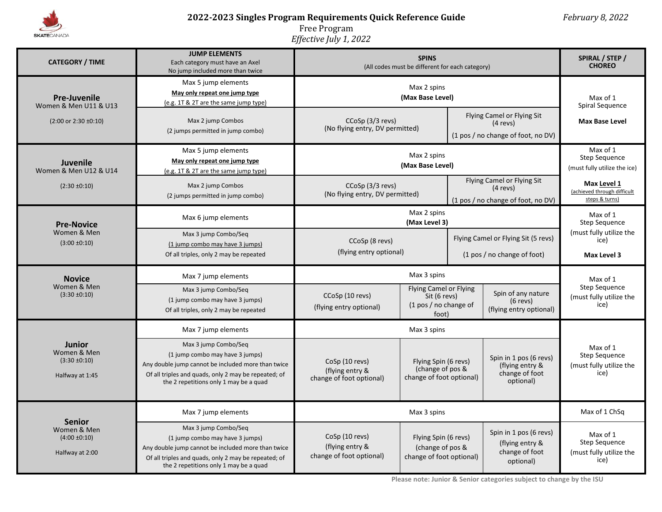

# **2022-2023 Singles Program Requirements Quick Reference Guide** *February 8, 2022*

Free Program

*Effective July 1, 2022*

| <b>CATEGORY / TIME</b>                                               | <b>JUMP ELEMENTS</b><br>Each category must have an Axel<br>No jump included more than twice                                                                                                                     | (All codes must be different for each category)               | SPIRAL / STEP /<br><b>CHOREO</b>                                                  |                                                                                |                                                                          |                                                                     |  |
|----------------------------------------------------------------------|-----------------------------------------------------------------------------------------------------------------------------------------------------------------------------------------------------------------|---------------------------------------------------------------|-----------------------------------------------------------------------------------|--------------------------------------------------------------------------------|--------------------------------------------------------------------------|---------------------------------------------------------------------|--|
| <b>Pre-Juvenile</b><br>Women & Men U11 & U13                         | Max 5 jump elements<br>May only repeat one jump type<br>(e.g. 1T & 2T are the same jump type)                                                                                                                   |                                                               | Max of 1<br>Spiral Sequence                                                       |                                                                                |                                                                          |                                                                     |  |
| $(2:00 \text{ or } 2:30 \pm 0:10)$                                   | Max 2 jump Combos<br>(2 jumps permitted in jump combo)                                                                                                                                                          | CCoSp (3/3 revs)<br>(No flying entry, DV permitted)           |                                                                                   | Flying Camel or Flying Sit<br>$(4$ revs)<br>(1 pos / no change of foot, no DV) |                                                                          | <b>Max Base Level</b>                                               |  |
| Juvenile<br>Women & Men U12 & U14                                    | Max 5 jump elements<br>May only repeat one jump type<br>(e.g. 1T & 2T are the same jump type)                                                                                                                   |                                                               | Max of 1<br><b>Step Sequence</b><br>(must fully utilize the ice)                  |                                                                                |                                                                          |                                                                     |  |
| $(2:30 \pm 0:10)$                                                    | Max 2 jump Combos<br>(2 jumps permitted in jump combo)                                                                                                                                                          | CCoSp (3/3 revs)<br>(No flying entry, DV permitted)           |                                                                                   | Flying Camel or Flying Sit<br>$(4$ revs)<br>(1 pos / no change of foot, no DV) |                                                                          | Max Level 1<br>(achieved through difficult<br>steps & turns)        |  |
| <b>Pre-Novice</b><br>Women & Men<br>$(3:00 \pm 0:10)$                | Max 6 jump elements                                                                                                                                                                                             | Max 2 spins<br>(Max Level 3)                                  |                                                                                   |                                                                                |                                                                          | Max of 1<br><b>Step Sequence</b>                                    |  |
|                                                                      | Max 3 jump Combo/Seq<br>(1 jump combo may have 3 jumps)<br>Of all triples, only 2 may be repeated                                                                                                               | CCoSp (8 revs)<br>(flying entry optional)                     |                                                                                   | Flying Camel or Flying Sit (5 revs)<br>(1 pos / no change of foot)             |                                                                          | (must fully utilize the<br>ice)<br>Max Level 3                      |  |
| <b>Novice</b>                                                        | Max 7 jump elements                                                                                                                                                                                             | Max 3 spins                                                   |                                                                                   |                                                                                |                                                                          | Max of 1                                                            |  |
| Women & Men<br>$(3:30 \pm 0:10)$                                     | Max 3 jump Combo/Seq<br>(1 jump combo may have 3 jumps)<br>Of all triples, only 2 may be repeated                                                                                                               | CCoSp (10 revs)<br>(flying entry optional)                    | <b>Flying Camel or Flying</b><br>Sit (6 revs)<br>$(1$ pos / no change of<br>foot) |                                                                                | Spin of any nature<br>$(6$ revs)<br>(flying entry optional)              | <b>Step Sequence</b><br>(must fully utilize the<br>ice)             |  |
|                                                                      | Max 7 jump elements                                                                                                                                                                                             | Max 3 spins                                                   |                                                                                   |                                                                                |                                                                          |                                                                     |  |
| <b>Junior</b><br>Women & Men<br>$(3:30 \pm 0:10)$<br>Halfway at 1:45 | Max 3 jump Combo/Seq<br>(1 jump combo may have 3 jumps)<br>Any double jump cannot be included more than twice<br>Of all triples and quads, only 2 may be repeated; of<br>the 2 repetitions only 1 may be a quad | CoSp (10 revs)<br>(flying entry &<br>change of foot optional) | Flying Spin (6 revs)<br>(change of pos &<br>change of foot optional)              |                                                                                | Spin in 1 pos (6 revs)<br>(flying entry &<br>change of foot<br>optional) | Max of 1<br><b>Step Sequence</b><br>(must fully utilize the<br>ice) |  |
| <b>Senior</b><br>Women & Men<br>$(4:00 \pm 0:10)$<br>Halfway at 2:00 | Max 7 jump elements                                                                                                                                                                                             | Max 3 spins                                                   |                                                                                   |                                                                                |                                                                          | Max of 1 ChSq                                                       |  |
|                                                                      | Max 3 jump Combo/Seq<br>(1 jump combo may have 3 jumps)<br>Any double jump cannot be included more than twice<br>Of all triples and quads, only 2 may be repeated; of<br>the 2 repetitions only 1 may be a quad | CoSp (10 revs)<br>(flying entry &<br>change of foot optional) | Flying Spin (6 revs)<br>(change of pos &<br>change of foot optional)              |                                                                                | Spin in 1 pos (6 revs)<br>(flying entry &<br>change of foot<br>optional) | Max of 1<br><b>Step Sequence</b><br>(must fully utilize the<br>ice) |  |

**Please note: Junior & Senior categories subject to change by the ISU**